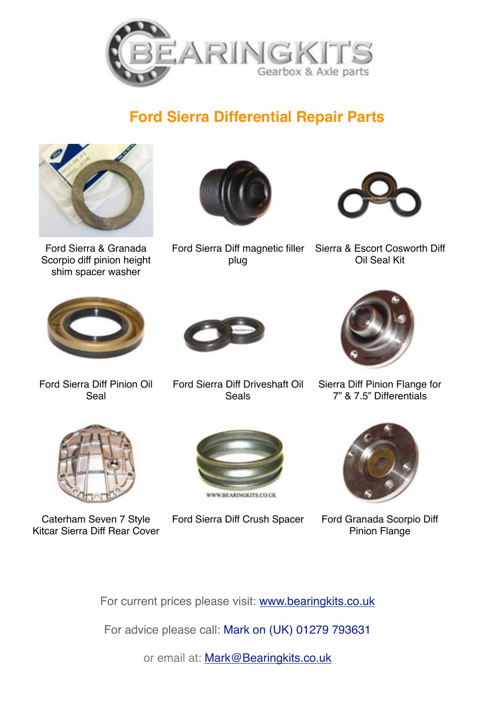

## **Ford Sierra Differential Repair Parts**



Ford Sierra & Granada Scorpio diff pinion height shim spacer washer



Ford Sierra Diff magnetic filler Sierra & Escort Cosworth Diff plug



Oil Seal Kit



Ford Sierra Diff Pinion Oil Seal



Ford Sierra Diff Driveshaft Oil **Seals** 



Sierra Diff Pinion Flange for 7" & 7.5" Differentials



Caterham Seven 7 Style Kitcar Sierra Diff Rear Cover



Ford Sierra Diff Crush Spacer Ford Granada Scorpio Diff



Pinion Flange

For current prices please visit: [www.bearingkits.co.uk](http://www.bearingkits.co.uk)

For advice please call: Mark on (UK) 01279 793631

or email at: [Mark@Bearingkits.co.uk](mailto:Mark@Bearingkits.co.uk)